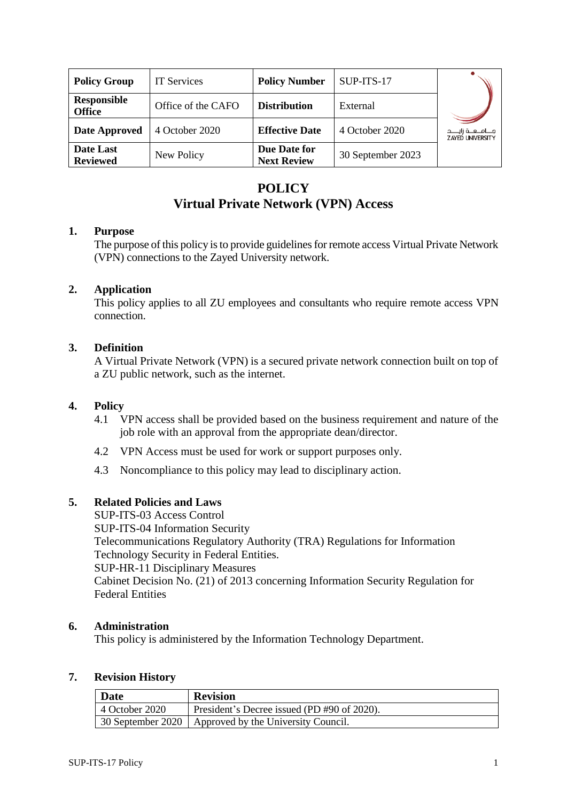| <b>Policy Group</b>                 | <b>IT</b> Services | <b>Policy Number</b>               | SUP-ITS-17        |                                                  |
|-------------------------------------|--------------------|------------------------------------|-------------------|--------------------------------------------------|
| <b>Responsible</b><br><b>Office</b> | Office of the CAFO | <b>Distribution</b>                | External          |                                                  |
| Date Approved                       | 4 October 2020     | <b>Effective Date</b>              | 4 October 2020    | جـــامــعــة زايــــد<br><b>ZAYED UNIVERSITY</b> |
| Date Last<br><b>Reviewed</b>        | New Policy         | Due Date for<br><b>Next Review</b> | 30 September 2023 |                                                  |

# **POLICY Virtual Private Network (VPN) Access**

# **1. Purpose**

The purpose of this policy is to provide guidelines for remote access Virtual Private Network (VPN) connections to the Zayed University network.

# **2. Application**

This policy applies to all ZU employees and consultants who require remote access VPN connection.

# **3. Definition**

A Virtual Private Network (VPN) is a secured private network connection built on top of a ZU public network, such as the internet.

#### **4. Policy**

- 4.1 VPN access shall be provided based on the business requirement and nature of the job role with an approval from the appropriate dean/director.
- 4.2 VPN Access must be used for work or support purposes only.
- 4.3 Noncompliance to this policy may lead to disciplinary action.

# **5. Related Policies and Laws**

SUP-ITS-03 Access Control SUP-ITS-04 Information Security Telecommunications Regulatory Authority (TRA) Regulations for Information Technology Security in Federal Entities. SUP-HR-11 Disciplinary Measures Cabinet Decision No. (21) of 2013 concerning Information Security Regulation for Federal Entities

#### **6. Administration**

This policy is administered by the Information Technology Department.

#### **7. Revision History**

| <b>Date</b>            | <b>Revision</b>                                         |
|------------------------|---------------------------------------------------------|
| $\vert$ 4 October 2020 | President's Decree issued (PD #90 of 2020).             |
|                        | 30 September 2020   Approved by the University Council. |